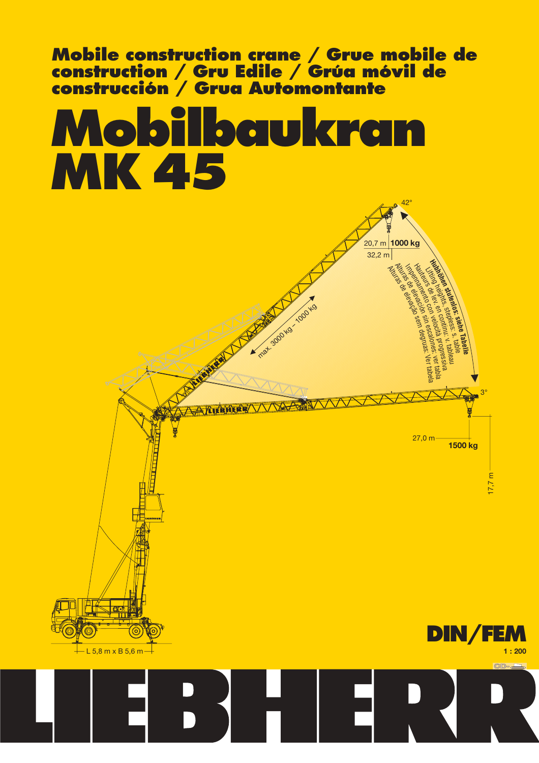

# **Mobilbaukran MK 45**

 $-$  L 5.8 m x B 5.6 m  $-$ 



42°

**1000 kg**

 $32.2 m$ 20,7 m

> **DIN/FEM 1 : 200**  $CD - c$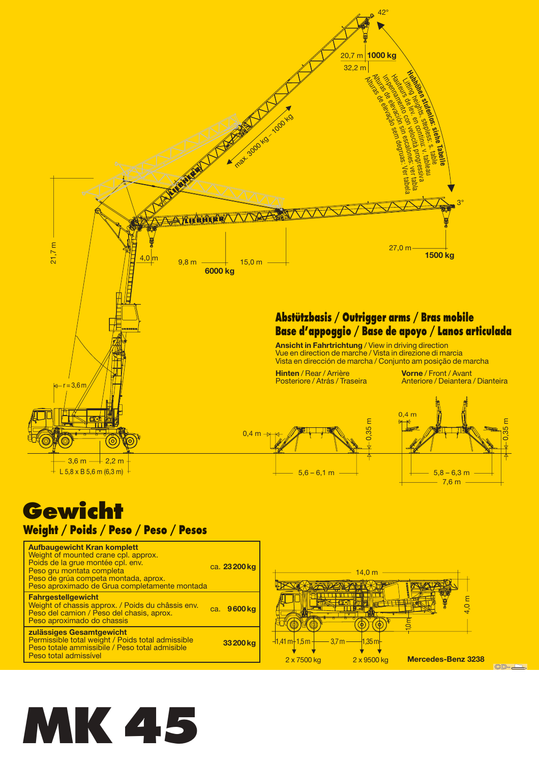

### **Weight / Poids / Peso / Peso / Pesos**

| <b>Aufbaugewicht Kran komplett</b><br>Weight of mounted crane cpl. approx.<br>Poids de la grue montée cpl. env.<br>Peso gru montata completa<br>Peso de grúa competa montada, aprox.<br>Peso aproximado de Grua completamente montada | ca. 23 200 kg |
|---------------------------------------------------------------------------------------------------------------------------------------------------------------------------------------------------------------------------------------|---------------|
| <b>Fahrgestellgewicht</b><br>Weight of chassis approx. / Poids du châssis env.<br>Peso del camion / Peso del chasis, aprox.<br>Peso aproximado do chassis                                                                             | ca. 9600 kg   |
| zulässiges Gesamtgewicht<br>Permissible total weight / Poids total admissible<br>Peso totale ammissibile / Peso total admisible<br>Peso total admissível                                                                              | 33 200 kg     |



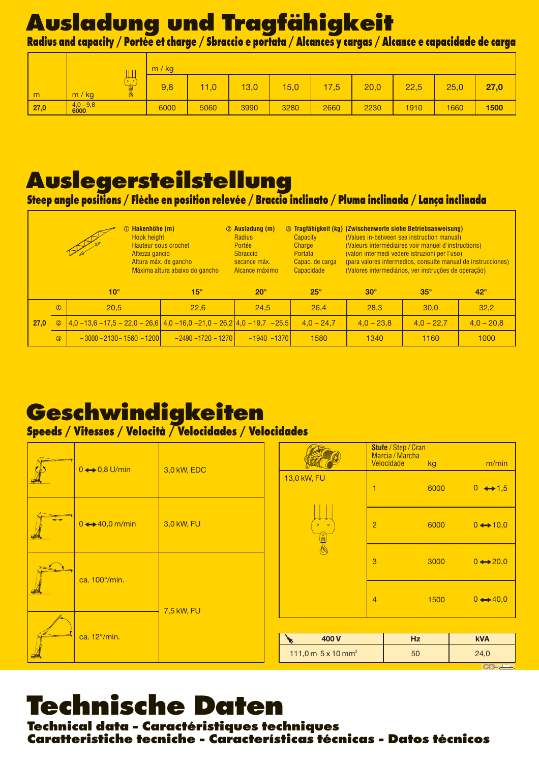### **Ausladung und Tragfähigkeit**

Radius and capacity / Portée et charge / Sbraccio e portata / Alcances y cargas / Alcance e capacidade de carga

|      |                   |                                                             | m / kg |      |      |      |      |      |      |      |      |
|------|-------------------|-------------------------------------------------------------|--------|------|------|------|------|------|------|------|------|
| m    | m / kg            | ∼<br>$0$ $0$<br>$\overline{\phantom{a}}$<br>ei<br>$\bullet$ | 9,8    | 71,0 | 13,0 | 15,0 | 17,5 | 20,0 | 22,5 | 25,0 | 27,0 |
| 27,0 | $4,0-9,8$<br>6000 |                                                             | 6000   | 5060 | 3990 | 3280 | 2660 | 2230 | 1910 | 1660 | 1500 |

### **Auslegersteilstellung**

**Steep angle positions / Flèche en position relevée / Braccio inclinato / Pluma inclinada / Lança inclinada**

|      | Hakenhöhe (m)<br>Φ<br><b>Hook height</b><br><b>Hauteur sous crochet</b><br>Altezza gancio<br>Altura máx. de gancho<br>Máxima altura abaixo do gancho |                                                                                |                       | 2 Ausladung (m)<br>Radius<br>Portée<br><b>S</b> braccio<br>secance máx.<br>Alcance máximo | Capacity<br>Charge<br>Portata<br>Capac. de carga<br>Capacidade | <b>3 Tragfähigkeit (kg) (Zwischenwerte siehe Betriebsanweisung)</b><br>(Values in-between see instruction manual)<br>(Valeurs intermédiaires voir manuel d'instructions)<br>(valori intermedi vedere istruzioni per l'uso)<br>(para valores intermedios, consulte manual de instrucciones)<br>(Valores intermediários, ver instruções de operação) |              |              |  |  |
|------|------------------------------------------------------------------------------------------------------------------------------------------------------|--------------------------------------------------------------------------------|-----------------------|-------------------------------------------------------------------------------------------|----------------------------------------------------------------|----------------------------------------------------------------------------------------------------------------------------------------------------------------------------------------------------------------------------------------------------------------------------------------------------------------------------------------------------|--------------|--------------|--|--|
|      |                                                                                                                                                      | $10^{\circ}$                                                                   | $15^\circ$            | $20^\circ$                                                                                | $25^\circ$                                                     | $30^\circ$                                                                                                                                                                                                                                                                                                                                         | $35^\circ$   | $42^{\circ}$ |  |  |
|      | $\bigcirc$                                                                                                                                           | 20.5                                                                           | 22.6                  | 24,5                                                                                      | 26.4                                                           | 28.3                                                                                                                                                                                                                                                                                                                                               | 30.0         | 32.2         |  |  |
| 27,0 | $\circledcirc$                                                                                                                                       | $(4,0 - 13,6 - 17,5 - 22,0 - 26,6)$ 4,0 - 16,0 - 21,0 - 26,2 4,0 - 19,7 - 25,5 |                       |                                                                                           | $4,0 - 24,7$                                                   | $4,0 - 23,8$                                                                                                                                                                                                                                                                                                                                       | $4,0 - 22,7$ | $4.0 - 20.8$ |  |  |
|      | $\circled{3}$                                                                                                                                        | $-3000 - 2130 - 1560 - 1200$                                                   | $-2490 - 1720 - 1270$ | $-1940 - 1370$                                                                            | 1580                                                           | 1340                                                                                                                                                                                                                                                                                                                                               | 1160         | 1000         |  |  |

### **Geschwindigkeiten**

#### **Speeds / Vitesses / Velocità / Velocidades / Velocidades**

|  | $0 \leftrightarrow 0.8$ U/min  | 3,0 kW, EDC |  |                                       |                                      | Stufe / Step / Cran<br>Marcia / Marcha<br>Velocidade<br>kg | m/min                    |
|--|--------------------------------|-------------|--|---------------------------------------|--------------------------------------|------------------------------------------------------------|--------------------------|
|  |                                |             |  | 13,0 kW, FU                           | 6000<br>$0 \leftrightarrow 1,5$<br>1 |                                                            |                          |
|  | $0 \leftrightarrow 40,0$ m/min | 3,0 kW, FU  |  | $0$ 0                                 | $\overline{c}$                       | 6000                                                       | $0 \leftrightarrow 10,0$ |
|  | ca. 100°/min.                  |             |  |                                       | 3                                    | 3000                                                       | $0 \leftrightarrow 20,0$ |
|  |                                | 7,5 kW, FU  |  |                                       | $\overline{4}$                       | 1500                                                       | $0 \leftrightarrow 40,0$ |
|  | ca. 12°/min.                   |             |  |                                       |                                      |                                                            |                          |
|  |                                |             |  | 400 V                                 |                                      | <b>Hz</b>                                                  | <b>kVA</b>               |
|  |                                |             |  | 111,0 m $5 \times 10$ mm <sup>2</sup> |                                      | 50                                                         | 24,0<br>$\sqrt{2}$       |

## **Technische Daten**

**Technical data - Caractéristiques techniques Caratteristiche tecniche - Características técnicas - Datos técnicos**